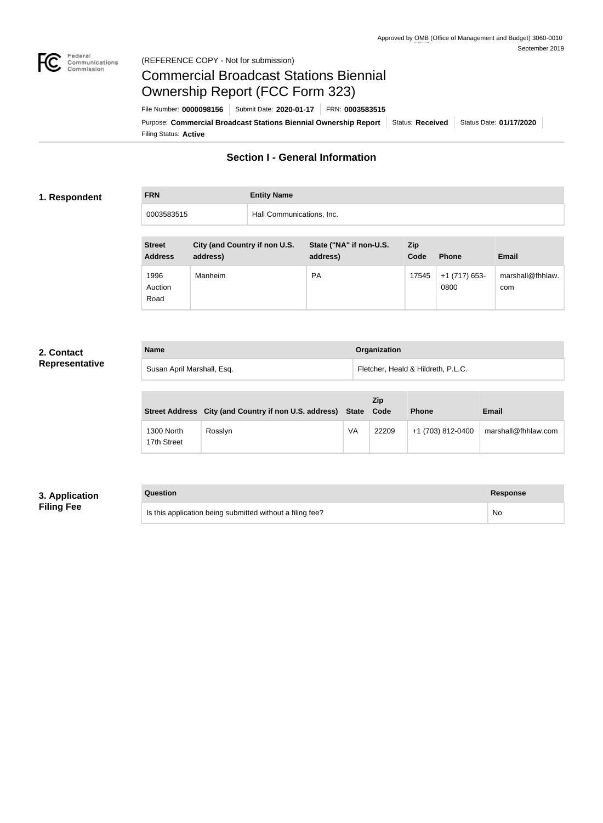

## Federal<br>Communications<br>Commission (REFERENCE COPY - Not for submission)

# Commercial Broadcast Stations Biennial Ownership Report (FCC Form 323)

Filing Status: **Active** Purpose: Commercial Broadcast Stations Biennial Ownership Report Status: Received Status Date: 01/17/2020 File Number: **0000098156** Submit Date: **2020-01-17** FRN: **0003583515**

# **Section I - General Information**

## **1. Respondent**

**FRN Entity Name** 0003583515 Hall Communications, Inc.

| <b>Street</b><br><b>Address</b> | City (and Country if non U.S.<br>address) | State ("NA" if non-U.S.<br>address) | <b>Zip</b><br>Code | <b>Phone</b>          | <b>Email</b>            |
|---------------------------------|-------------------------------------------|-------------------------------------|--------------------|-----------------------|-------------------------|
| 1996<br>Auction<br>Road         | Manheim                                   | <b>PA</b>                           | 17545              | +1 (717) 653-<br>0800 | marshall@fhhlaw.<br>com |

# **2. Contact Representative**

| <b>Name</b>                | <b>Organization</b>                |
|----------------------------|------------------------------------|
| Susan April Marshall, Esq. | Fletcher, Heald & Hildreth, P.L.C. |

|                           | Street Address City (and Country if non U.S. address) State Code |    | <b>Zip</b> | <b>Phone</b>      | <b>Email</b>        |
|---------------------------|------------------------------------------------------------------|----|------------|-------------------|---------------------|
| 1300 North<br>17th Street | Rosslyn                                                          | VA | 22209      | +1 (703) 812-0400 | marshall@fhhlaw.com |

# **3. Application Filing Fee**

# **Question Response**

Is this application being submitted without a filing fee? No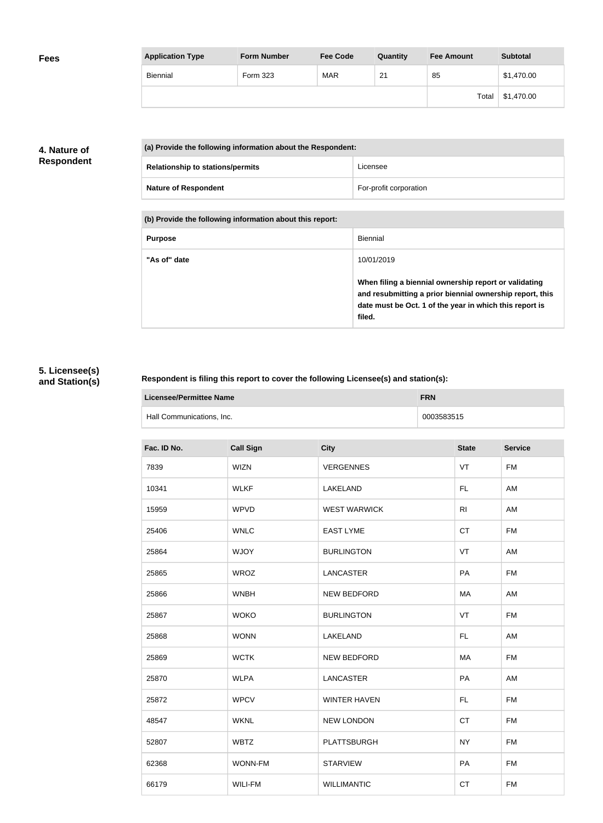| <b>Application Type</b> | <b>Form Number</b> | <b>Fee Code</b> | Quantity | <b>Fee Amount</b> | <b>Subtotal</b> |
|-------------------------|--------------------|-----------------|----------|-------------------|-----------------|
| <b>Biennial</b>         | <b>Form 323</b>    | <b>MAR</b>      | 21       | 85                | \$1,470.00      |
|                         |                    |                 |          | Total             | \$1,470.00      |

# **4. Nature of Respondent**

| (a) Provide the following information about the Respondent: |                        |  |
|-------------------------------------------------------------|------------------------|--|
| <b>Relationship to stations/permits</b>                     | Licensee               |  |
| <b>Nature of Respondent</b>                                 | For-profit corporation |  |

**(b) Provide the following information about this report:**

| <b>Purpose</b> | Biennial                                                                                                                                                                               |
|----------------|----------------------------------------------------------------------------------------------------------------------------------------------------------------------------------------|
| "As of" date   | 10/01/2019                                                                                                                                                                             |
|                | When filing a biennial ownership report or validating<br>and resubmitting a prior biennial ownership report, this<br>date must be Oct. 1 of the year in which this report is<br>filed. |

# **5. Licensee(s) and Station(s)**

r

# **Respondent is filing this report to cover the following Licensee(s) and station(s):**

| Licensee/Permittee Name   | <b>FRN</b> |
|---------------------------|------------|
| Hall Communications, Inc. | 0003583515 |

| Fac. ID No. | <b>Call Sign</b> | <b>City</b>         | <b>State</b>   | <b>Service</b> |
|-------------|------------------|---------------------|----------------|----------------|
| 7839        | <b>WIZN</b>      | <b>VERGENNES</b>    | VT             | <b>FM</b>      |
| 10341       | <b>WLKF</b>      | LAKELAND            | FL             | AM             |
| 15959       | <b>WPVD</b>      | <b>WEST WARWICK</b> | R <sub>l</sub> | AM             |
| 25406       | <b>WNLC</b>      | <b>EAST LYME</b>    | CT             | <b>FM</b>      |
| 25864       | <b>WJOY</b>      | <b>BURLINGTON</b>   | VT             | AM             |
| 25865       | <b>WROZ</b>      | <b>LANCASTER</b>    | PA             | <b>FM</b>      |
| 25866       | <b>WNBH</b>      | <b>NEW BEDFORD</b>  | MA             | AM             |
| 25867       | <b>WOKO</b>      | <b>BURLINGTON</b>   | VT             | <b>FM</b>      |
| 25868       | <b>WONN</b>      | LAKELAND            | FL.            | AM             |
| 25869       | <b>WCTK</b>      | <b>NEW BEDFORD</b>  | MA             | <b>FM</b>      |
| 25870       | <b>WLPA</b>      | <b>LANCASTER</b>    | PA             | AM             |
| 25872       | <b>WPCV</b>      | <b>WINTER HAVEN</b> | FL             | <b>FM</b>      |
| 48547       | <b>WKNL</b>      | <b>NEW LONDON</b>   | <b>CT</b>      | <b>FM</b>      |
| 52807       | <b>WBTZ</b>      | <b>PLATTSBURGH</b>  | <b>NY</b>      | <b>FM</b>      |
| 62368       | WONN-FM          | <b>STARVIEW</b>     | PA             | <b>FM</b>      |
| 66179       | WILI-FM          | <b>WILLIMANTIC</b>  | <b>CT</b>      | <b>FM</b>      |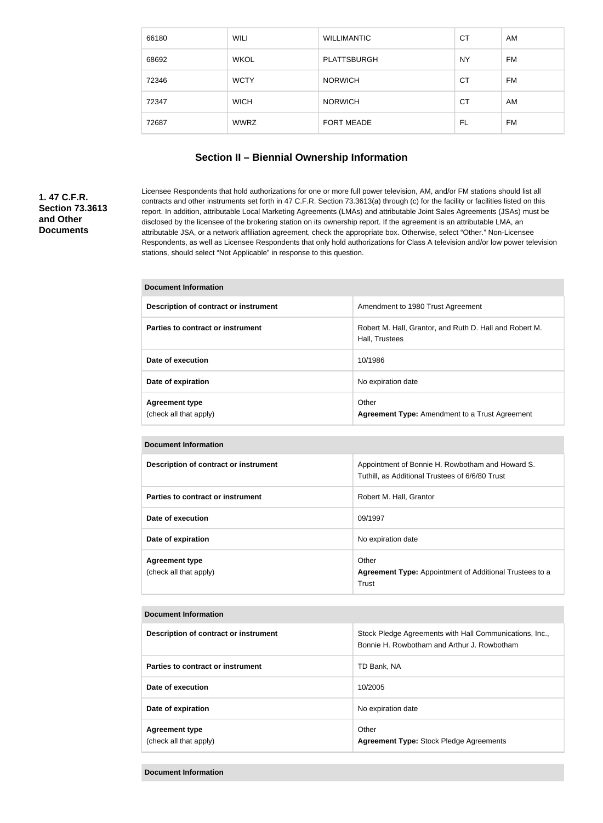| 66180 | WILI        | <b>WILLIMANTIC</b> | <b>CT</b> | AM        |
|-------|-------------|--------------------|-----------|-----------|
| 68692 | <b>WKOL</b> | <b>PLATTSBURGH</b> | <b>NY</b> | <b>FM</b> |
| 72346 | <b>WCTY</b> | <b>NORWICH</b>     | <b>CT</b> | FM        |
| 72347 | <b>WICH</b> | <b>NORWICH</b>     | СT        | AM        |
| 72687 | <b>WWRZ</b> | FORT MEADE         | FL        | <b>FM</b> |

# **Section II – Biennial Ownership Information**

# **1. 47 C.F.R. Section 73.3613 and Other Documents**

Licensee Respondents that hold authorizations for one or more full power television, AM, and/or FM stations should list all contracts and other instruments set forth in 47 C.F.R. Section 73.3613(a) through (c) for the facility or facilities listed on this report. In addition, attributable Local Marketing Agreements (LMAs) and attributable Joint Sales Agreements (JSAs) must be disclosed by the licensee of the brokering station on its ownership report. If the agreement is an attributable LMA, an attributable JSA, or a network affiliation agreement, check the appropriate box. Otherwise, select "Other." Non-Licensee Respondents, as well as Licensee Respondents that only hold authorizations for Class A television and/or low power television stations, should select "Not Applicable" in response to this question.

| Description of contract or instrument           | Amendment to 1980 Trust Agreement                                         |
|-------------------------------------------------|---------------------------------------------------------------------------|
| Parties to contract or instrument               | Robert M. Hall, Grantor, and Ruth D. Hall and Robert M.<br>Hall, Trustees |
| Date of execution                               | 10/1986                                                                   |
| Date of expiration                              | No expiration date                                                        |
| <b>Agreement type</b><br>(check all that apply) | Other<br><b>Agreement Type:</b> Amendment to a Trust Agreement            |

| <b>Document Information</b>                     |                                                                                                     |
|-------------------------------------------------|-----------------------------------------------------------------------------------------------------|
| Description of contract or instrument           | Appointment of Bonnie H. Rowbotham and Howard S.<br>Tuthill, as Additional Trustees of 6/6/80 Trust |
| Parties to contract or instrument               | Robert M. Hall, Grantor                                                                             |
| Date of execution                               | 09/1997                                                                                             |
| Date of expiration                              | No expiration date                                                                                  |
| <b>Agreement type</b><br>(check all that apply) | Other<br><b>Agreement Type:</b> Appointment of Additional Trustees to a<br>Trust                    |

#### **Document Information**

| Description of contract or instrument           | Stock Pledge Agreements with Hall Communications, Inc.,<br>Bonnie H. Rowbotham and Arthur J. Rowbotham |
|-------------------------------------------------|--------------------------------------------------------------------------------------------------------|
| Parties to contract or instrument               | TD Bank, NA                                                                                            |
| Date of execution                               | 10/2005                                                                                                |
| Date of expiration                              | No expiration date                                                                                     |
| <b>Agreement type</b><br>(check all that apply) | Other<br><b>Agreement Type: Stock Pledge Agreements</b>                                                |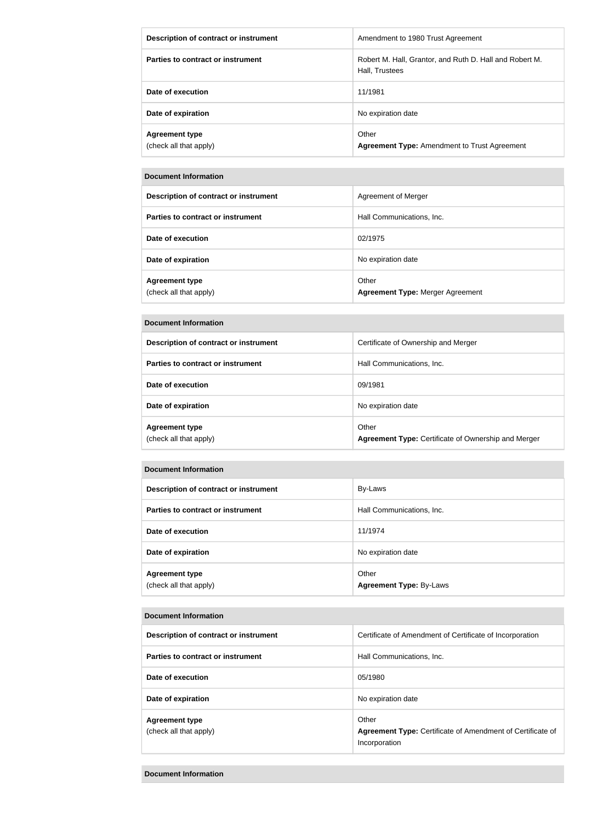| Description of contract or instrument           | Amendment to 1980 Trust Agreement                                         |
|-------------------------------------------------|---------------------------------------------------------------------------|
| Parties to contract or instrument               | Robert M. Hall, Grantor, and Ruth D. Hall and Robert M.<br>Hall, Trustees |
| Date of execution                               | 11/1981                                                                   |
| Date of expiration                              | No expiration date                                                        |
| <b>Agreement type</b><br>(check all that apply) | Other<br><b>Agreement Type: Amendment to Trust Agreement</b>              |

#### **Document Information**

| Description of contract or instrument           | Agreement of Merger                              |
|-------------------------------------------------|--------------------------------------------------|
| Parties to contract or instrument               | Hall Communications, Inc.                        |
| Date of execution                               | 02/1975                                          |
| Date of expiration                              | No expiration date                               |
| <b>Agreement type</b><br>(check all that apply) | Other<br><b>Agreement Type: Merger Agreement</b> |

#### **Document Information**

| Description of contract or instrument           | Certificate of Ownership and Merger                                 |
|-------------------------------------------------|---------------------------------------------------------------------|
| Parties to contract or instrument               | Hall Communications, Inc.                                           |
| Date of execution                               | 09/1981                                                             |
| Date of expiration                              | No expiration date                                                  |
| <b>Agreement type</b><br>(check all that apply) | Other<br><b>Agreement Type: Certificate of Ownership and Merger</b> |

## **Document Information**

| Description of contract or instrument           | By-Laws                                 |
|-------------------------------------------------|-----------------------------------------|
| Parties to contract or instrument               | Hall Communications, Inc.               |
| Date of execution                               | 11/1974                                 |
| Date of expiration                              | No expiration date                      |
| <b>Agreement type</b><br>(check all that apply) | Other<br><b>Agreement Type: By-Laws</b> |

#### **Document Information**

| Description of contract or instrument           | Certificate of Amendment of Certificate of Incorporation                                    |
|-------------------------------------------------|---------------------------------------------------------------------------------------------|
| Parties to contract or instrument               | Hall Communications, Inc.                                                                   |
| Date of execution                               | 05/1980                                                                                     |
| Date of expiration                              | No expiration date                                                                          |
| <b>Agreement type</b><br>(check all that apply) | Other<br><b>Agreement Type:</b> Certificate of Amendment of Certificate of<br>Incorporation |

## **Document Information**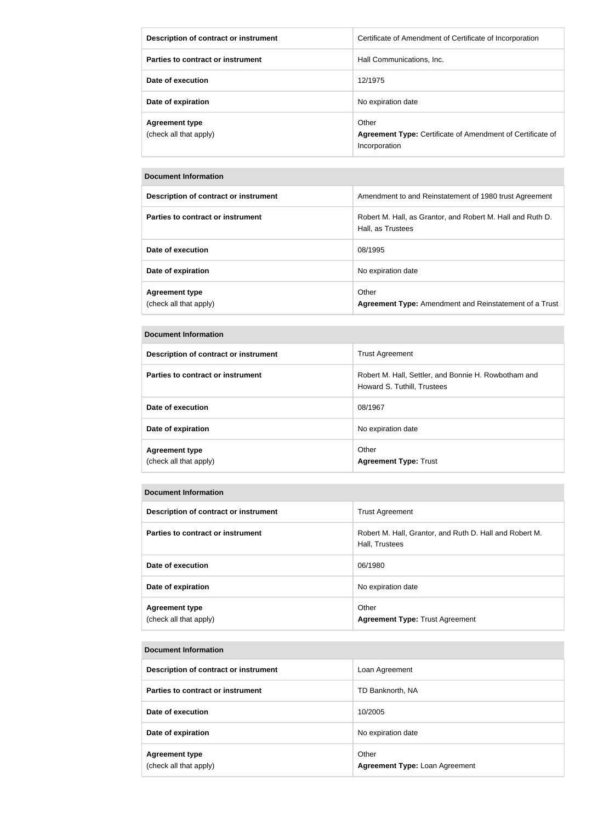| Description of contract or instrument           | Certificate of Amendment of Certificate of Incorporation                             |
|-------------------------------------------------|--------------------------------------------------------------------------------------|
| Parties to contract or instrument               | Hall Communications. Inc.                                                            |
| Date of execution                               | 12/1975                                                                              |
| Date of expiration                              | No expiration date                                                                   |
| <b>Agreement type</b><br>(check all that apply) | Other<br>Agreement Type: Certificate of Amendment of Certificate of<br>Incorporation |

#### **Document Information**

| Description of contract or instrument           | Amendment to and Reinstatement of 1980 trust Agreement                          |
|-------------------------------------------------|---------------------------------------------------------------------------------|
| Parties to contract or instrument               | Robert M. Hall, as Grantor, and Robert M. Hall and Ruth D.<br>Hall, as Trustees |
| Date of execution                               | 08/1995                                                                         |
| Date of expiration                              | No expiration date                                                              |
| <b>Agreement type</b><br>(check all that apply) | Other<br>Agreement Type: Amendment and Reinstatement of a Trust                 |

## **Document Information**

| Description of contract or instrument           | <b>Trust Agreement</b>                                                              |
|-------------------------------------------------|-------------------------------------------------------------------------------------|
| Parties to contract or instrument               | Robert M. Hall, Settler, and Bonnie H. Rowbotham and<br>Howard S. Tuthill, Trustees |
| Date of execution                               | 08/1967                                                                             |
| Date of expiration                              | No expiration date                                                                  |
| <b>Agreement type</b><br>(check all that apply) | Other<br><b>Agreement Type: Trust</b>                                               |

## **Document Information**

| Description of contract or instrument           | <b>Trust Agreement</b>                                                    |
|-------------------------------------------------|---------------------------------------------------------------------------|
| Parties to contract or instrument               | Robert M. Hall, Grantor, and Ruth D. Hall and Robert M.<br>Hall, Trustees |
| Date of execution                               | 06/1980                                                                   |
| Date of expiration                              | No expiration date                                                        |
| <b>Agreement type</b><br>(check all that apply) | Other<br><b>Agreement Type: Trust Agreement</b>                           |

#### **Document Information**

| Description of contract or instrument           | Loan Agreement                          |
|-------------------------------------------------|-----------------------------------------|
| Parties to contract or instrument               | TD Banknorth, NA                        |
| Date of execution                               | 10/2005                                 |
| Date of expiration                              | No expiration date                      |
| <b>Agreement type</b><br>(check all that apply) | Other<br>Agreement Type: Loan Agreement |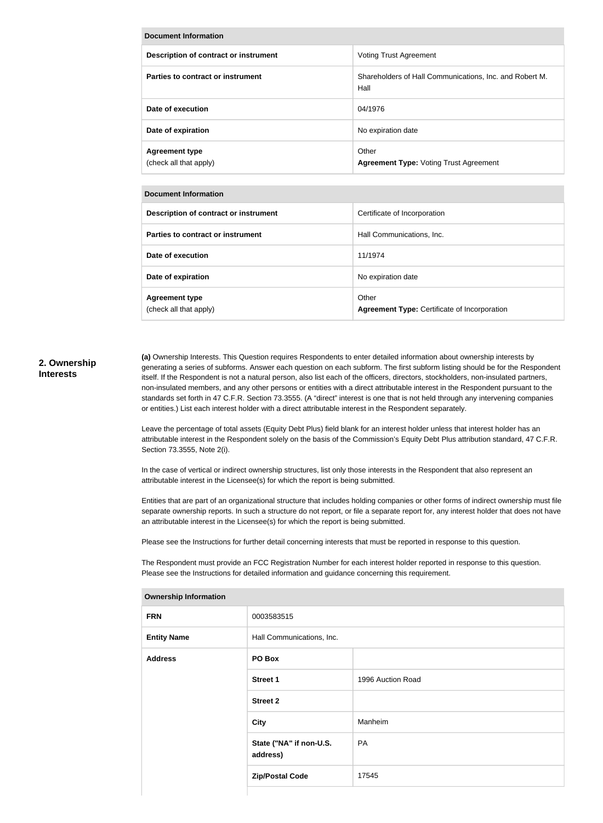| Document Information                            |                                                                 |  |  |
|-------------------------------------------------|-----------------------------------------------------------------|--|--|
| Description of contract or instrument           | <b>Voting Trust Agreement</b>                                   |  |  |
| Parties to contract or instrument               | Shareholders of Hall Communications, Inc. and Robert M.<br>Hall |  |  |
| Date of execution                               | 04/1976                                                         |  |  |
| Date of expiration                              | No expiration date                                              |  |  |
| <b>Agreement type</b><br>(check all that apply) | Other<br><b>Agreement Type: Voting Trust Agreement</b>          |  |  |

#### **Document Information**

| Description of contract or instrument           | Certificate of Incorporation                                 |
|-------------------------------------------------|--------------------------------------------------------------|
| Parties to contract or instrument               | Hall Communications, Inc.                                    |
| Date of execution                               | 11/1974                                                      |
| Date of expiration                              | No expiration date                                           |
| <b>Agreement type</b><br>(check all that apply) | Other<br><b>Agreement Type: Certificate of Incorporation</b> |

## **2. Ownership Interests**

**(a)** Ownership Interests. This Question requires Respondents to enter detailed information about ownership interests by generating a series of subforms. Answer each question on each subform. The first subform listing should be for the Respondent itself. If the Respondent is not a natural person, also list each of the officers, directors, stockholders, non-insulated partners, non-insulated members, and any other persons or entities with a direct attributable interest in the Respondent pursuant to the standards set forth in 47 C.F.R. Section 73.3555. (A "direct" interest is one that is not held through any intervening companies or entities.) List each interest holder with a direct attributable interest in the Respondent separately.

Leave the percentage of total assets (Equity Debt Plus) field blank for an interest holder unless that interest holder has an attributable interest in the Respondent solely on the basis of the Commission's Equity Debt Plus attribution standard, 47 C.F.R. Section 73.3555, Note 2(i).

In the case of vertical or indirect ownership structures, list only those interests in the Respondent that also represent an attributable interest in the Licensee(s) for which the report is being submitted.

Entities that are part of an organizational structure that includes holding companies or other forms of indirect ownership must file separate ownership reports. In such a structure do not report, or file a separate report for, any interest holder that does not have an attributable interest in the Licensee(s) for which the report is being submitted.

Please see the Instructions for further detail concerning interests that must be reported in response to this question.

The Respondent must provide an FCC Registration Number for each interest holder reported in response to this question. Please see the Instructions for detailed information and guidance concerning this requirement.

| ווטוומונוטוווועווון קוווטוסויווע |                                     |                   |
|----------------------------------|-------------------------------------|-------------------|
| <b>FRN</b>                       | 0003583515                          |                   |
| <b>Entity Name</b>               | Hall Communications, Inc.           |                   |
| <b>Address</b>                   | PO Box                              |                   |
|                                  | <b>Street 1</b>                     | 1996 Auction Road |
|                                  | <b>Street 2</b>                     |                   |
|                                  | City                                | Manheim           |
|                                  | State ("NA" if non-U.S.<br>address) | PA                |
|                                  | <b>Zip/Postal Code</b>              | 17545             |
|                                  |                                     |                   |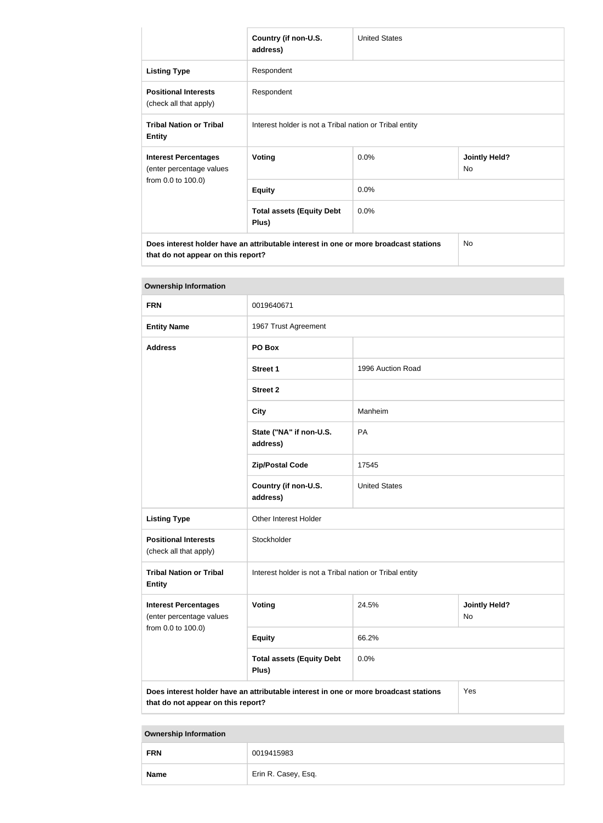|                                                                                      | Country (if non-U.S.<br>address)                        | <b>United States</b> |                            |
|--------------------------------------------------------------------------------------|---------------------------------------------------------|----------------------|----------------------------|
| <b>Listing Type</b>                                                                  | Respondent                                              |                      |                            |
| <b>Positional Interests</b><br>(check all that apply)                                | Respondent                                              |                      |                            |
| <b>Tribal Nation or Tribal</b><br><b>Entity</b>                                      | Interest holder is not a Tribal nation or Tribal entity |                      |                            |
| <b>Interest Percentages</b><br>(enter percentage values<br>from 0.0 to 100.0)        | <b>Voting</b>                                           | 0.0%                 | <b>Jointly Held?</b><br>No |
|                                                                                      | <b>Equity</b>                                           | 0.0%                 |                            |
|                                                                                      | <b>Total assets (Equity Debt</b><br>Plus)               | 0.0%                 |                            |
| Does interest holder have an attributable interest in one or more broadcast stations |                                                         |                      | <b>No</b>                  |

**that do not appear on this report? Ownership Information**

| <b>FRN</b>                                                                    | 0019640671                                                                           |                      |                            |  |
|-------------------------------------------------------------------------------|--------------------------------------------------------------------------------------|----------------------|----------------------------|--|
| <b>Entity Name</b>                                                            | 1967 Trust Agreement                                                                 |                      |                            |  |
| <b>Address</b>                                                                | PO Box                                                                               |                      |                            |  |
|                                                                               | <b>Street 1</b>                                                                      | 1996 Auction Road    |                            |  |
|                                                                               | <b>Street 2</b>                                                                      |                      |                            |  |
|                                                                               | <b>City</b>                                                                          | Manheim              |                            |  |
|                                                                               | State ("NA" if non-U.S.<br>address)                                                  | PA                   |                            |  |
|                                                                               | <b>Zip/Postal Code</b>                                                               | 17545                |                            |  |
|                                                                               | Country (if non-U.S.<br>address)                                                     | <b>United States</b> |                            |  |
| <b>Listing Type</b>                                                           | Other Interest Holder                                                                |                      |                            |  |
| <b>Positional Interests</b><br>(check all that apply)                         | Stockholder                                                                          |                      |                            |  |
| <b>Tribal Nation or Tribal</b><br><b>Entity</b>                               | Interest holder is not a Tribal nation or Tribal entity                              |                      |                            |  |
| <b>Interest Percentages</b><br>(enter percentage values<br>from 0.0 to 100.0) | Voting                                                                               | 24.5%                | <b>Jointly Held?</b><br>No |  |
|                                                                               | <b>Equity</b>                                                                        | 66.2%                |                            |  |
|                                                                               | <b>Total assets (Equity Debt</b><br>Plus)                                            | 0.0%                 |                            |  |
| that do not appear on this report?                                            | Does interest holder have an attributable interest in one or more broadcast stations |                      | Yes                        |  |

| <b>FRN</b>  | 0019415983          |  |
|-------------|---------------------|--|
| <b>Name</b> | Erin R. Casey, Esq. |  |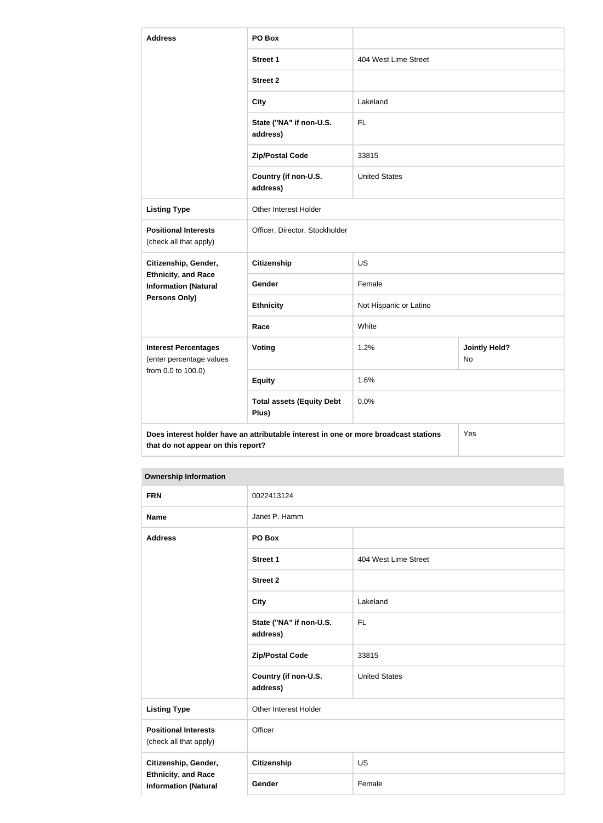| <b>Address</b>                                            | PO Box                                                                               |                        |                            |
|-----------------------------------------------------------|--------------------------------------------------------------------------------------|------------------------|----------------------------|
|                                                           | <b>Street 1</b>                                                                      | 404 West Lime Street   |                            |
|                                                           | <b>Street 2</b>                                                                      |                        |                            |
|                                                           | <b>City</b>                                                                          | Lakeland               |                            |
|                                                           | State ("NA" if non-U.S.<br>address)                                                  | <b>FL</b>              |                            |
|                                                           | <b>Zip/Postal Code</b>                                                               | 33815                  |                            |
|                                                           | Country (if non-U.S.<br>address)                                                     | <b>United States</b>   |                            |
| <b>Listing Type</b>                                       | Other Interest Holder                                                                |                        |                            |
| <b>Positional Interests</b><br>(check all that apply)     | Officer, Director, Stockholder                                                       |                        |                            |
| Citizenship, Gender,                                      | <b>Citizenship</b>                                                                   | <b>US</b>              |                            |
| <b>Ethnicity, and Race</b><br><b>Information (Natural</b> | Gender                                                                               | Female                 |                            |
| Persons Only)                                             | <b>Ethnicity</b>                                                                     | Not Hispanic or Latino |                            |
|                                                           | Race                                                                                 | White                  |                            |
| <b>Interest Percentages</b><br>(enter percentage values   | Voting                                                                               | 1.2%                   | <b>Jointly Held?</b><br>No |
| from 0.0 to 100.0)                                        | <b>Equity</b>                                                                        | 1.6%                   |                            |
|                                                           | <b>Total assets (Equity Debt</b><br>Plus)                                            | 0.0%                   |                            |
| that do not appear on this report?                        | Does interest holder have an attributable interest in one or more broadcast stations |                        | Yes                        |

| <b>FRN</b>                                                | 0022413124                          |                      |
|-----------------------------------------------------------|-------------------------------------|----------------------|
| <b>Name</b>                                               | Janet P. Hamm                       |                      |
| <b>Address</b>                                            | PO Box                              |                      |
|                                                           | <b>Street 1</b>                     | 404 West Lime Street |
|                                                           | <b>Street 2</b>                     |                      |
|                                                           | <b>City</b>                         | Lakeland             |
|                                                           | State ("NA" if non-U.S.<br>address) | FL.                  |
|                                                           | <b>Zip/Postal Code</b>              | 33815                |
|                                                           | Country (if non-U.S.<br>address)    | <b>United States</b> |
| <b>Listing Type</b>                                       | Other Interest Holder               |                      |
| <b>Positional Interests</b><br>(check all that apply)     | Officer                             |                      |
| Citizenship, Gender,                                      | <b>Citizenship</b>                  | <b>US</b>            |
| <b>Ethnicity, and Race</b><br><b>Information (Natural</b> | Gender                              | Female               |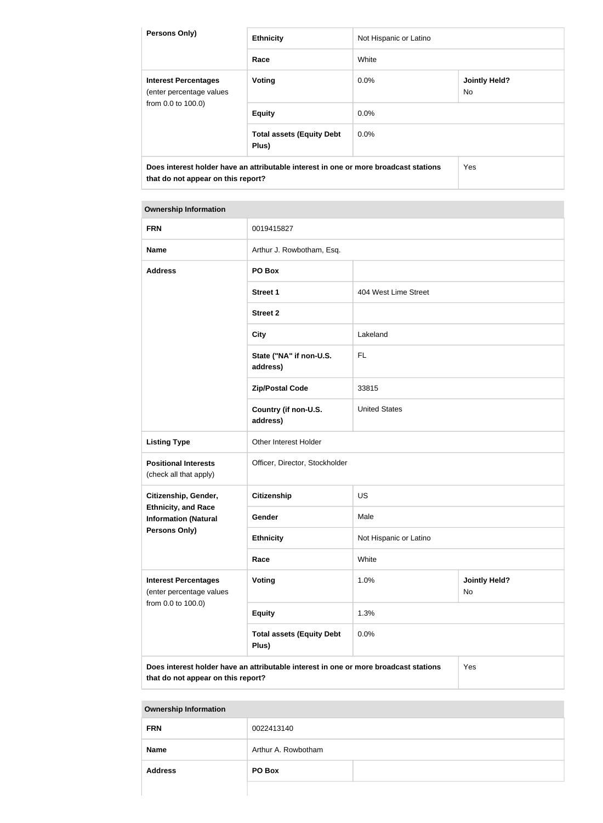| <b>Persons Only)</b>                                                          | <b>Ethnicity</b>                                                                     | Not Hispanic or Latino |                             |
|-------------------------------------------------------------------------------|--------------------------------------------------------------------------------------|------------------------|-----------------------------|
|                                                                               | Race                                                                                 | White                  |                             |
| <b>Interest Percentages</b><br>(enter percentage values<br>from 0.0 to 100.0) | Voting                                                                               | $0.0\%$                | <b>Jointly Held?</b><br>No. |
|                                                                               | <b>Equity</b>                                                                        | 0.0%                   |                             |
|                                                                               | <b>Total assets (Equity Debt</b><br>Plus)                                            | 0.0%                   |                             |
| that do not appear on this report?                                            | Does interest holder have an attributable interest in one or more broadcast stations |                        | Yes                         |

## **Ownership Information**

| <b>FRN</b>                                                                           | 0019415827                                |                        |                            |  |
|--------------------------------------------------------------------------------------|-------------------------------------------|------------------------|----------------------------|--|
| <b>Name</b>                                                                          | Arthur J. Rowbotham, Esq.                 |                        |                            |  |
| <b>Address</b>                                                                       | PO Box                                    |                        |                            |  |
|                                                                                      | <b>Street 1</b>                           | 404 West Lime Street   |                            |  |
|                                                                                      | <b>Street 2</b>                           |                        |                            |  |
|                                                                                      | <b>City</b>                               | Lakeland               |                            |  |
|                                                                                      | State ("NA" if non-U.S.<br>address)       | <b>FL</b>              |                            |  |
|                                                                                      | <b>Zip/Postal Code</b>                    | 33815                  |                            |  |
|                                                                                      | Country (if non-U.S.<br>address)          | <b>United States</b>   |                            |  |
| <b>Listing Type</b>                                                                  | Other Interest Holder                     |                        |                            |  |
| <b>Positional Interests</b><br>(check all that apply)                                | Officer, Director, Stockholder            |                        |                            |  |
| Citizenship, Gender,                                                                 | <b>Citizenship</b>                        | <b>US</b>              |                            |  |
| <b>Ethnicity, and Race</b><br><b>Information (Natural</b>                            | Gender                                    | Male                   |                            |  |
| <b>Persons Only)</b>                                                                 | <b>Ethnicity</b>                          | Not Hispanic or Latino |                            |  |
|                                                                                      | Race                                      | White                  |                            |  |
| <b>Interest Percentages</b><br>(enter percentage values<br>from 0.0 to 100.0)        | <b>Voting</b>                             | 1.0%                   | <b>Jointly Held?</b><br>No |  |
|                                                                                      | <b>Equity</b>                             | 1.3%                   |                            |  |
|                                                                                      | <b>Total assets (Equity Debt</b><br>Plus) | 0.0%                   |                            |  |
| Does interest holder have an attributable interest in one or more broadcast stations |                                           |                        | Yes                        |  |

**that do not appear on this report?**

| <b>FRN</b>     | 0022413140          |
|----------------|---------------------|
| <b>Name</b>    | Arthur A. Rowbotham |
| <b>Address</b> | PO Box              |
|                |                     |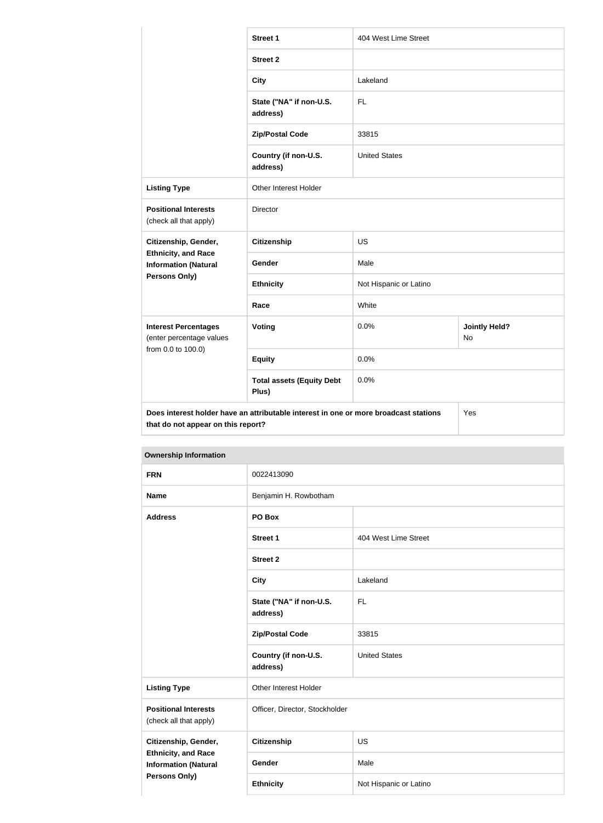|                                                                               | <b>Street 1</b>                                                                      | 404 West Lime Street   |                                   |  |
|-------------------------------------------------------------------------------|--------------------------------------------------------------------------------------|------------------------|-----------------------------------|--|
|                                                                               | <b>Street 2</b>                                                                      |                        |                                   |  |
|                                                                               | <b>City</b>                                                                          | Lakeland               |                                   |  |
|                                                                               | State ("NA" if non-U.S.<br>address)                                                  | <b>FL</b>              |                                   |  |
|                                                                               | <b>Zip/Postal Code</b>                                                               | 33815                  |                                   |  |
|                                                                               | Country (if non-U.S.<br>address)                                                     | <b>United States</b>   |                                   |  |
| <b>Listing Type</b>                                                           | <b>Other Interest Holder</b>                                                         |                        |                                   |  |
| <b>Positional Interests</b><br>(check all that apply)                         | Director                                                                             |                        |                                   |  |
| Citizenship, Gender,                                                          | <b>Citizenship</b>                                                                   | <b>US</b>              |                                   |  |
| <b>Ethnicity, and Race</b><br><b>Information (Natural</b>                     | Gender                                                                               | Male                   |                                   |  |
| Persons Only)                                                                 | <b>Ethnicity</b>                                                                     | Not Hispanic or Latino |                                   |  |
|                                                                               | Race                                                                                 | White                  |                                   |  |
| <b>Interest Percentages</b><br>(enter percentage values<br>from 0.0 to 100.0) | <b>Voting</b>                                                                        | 0.0%                   | <b>Jointly Held?</b><br><b>No</b> |  |
|                                                                               | <b>Equity</b>                                                                        | 0.0%                   |                                   |  |
|                                                                               | <b>Total assets (Equity Debt</b><br>Plus)                                            | 0.0%                   |                                   |  |
| that do not appear on this report?                                            | Does interest holder have an attributable interest in one or more broadcast stations |                        | Yes                               |  |

| <b>OWNERSHIP INTO HIGHON</b>                                                                              |                                     |                        |  |  |
|-----------------------------------------------------------------------------------------------------------|-------------------------------------|------------------------|--|--|
| <b>FRN</b>                                                                                                | 0022413090                          |                        |  |  |
| <b>Name</b>                                                                                               | Benjamin H. Rowbotham               |                        |  |  |
| <b>Address</b>                                                                                            | PO Box                              |                        |  |  |
|                                                                                                           | <b>Street 1</b>                     | 404 West Lime Street   |  |  |
|                                                                                                           | <b>Street 2</b>                     |                        |  |  |
|                                                                                                           | <b>City</b>                         | Lakeland               |  |  |
|                                                                                                           | State ("NA" if non-U.S.<br>address) | <b>FL</b>              |  |  |
|                                                                                                           | <b>Zip/Postal Code</b>              | 33815                  |  |  |
|                                                                                                           | Country (if non-U.S.<br>address)    | <b>United States</b>   |  |  |
| <b>Listing Type</b>                                                                                       | Other Interest Holder               |                        |  |  |
| <b>Positional Interests</b><br>(check all that apply)                                                     | Officer, Director, Stockholder      |                        |  |  |
| Citizenship, Gender,<br><b>Ethnicity, and Race</b><br><b>Information (Natural</b><br><b>Persons Only)</b> | <b>Citizenship</b>                  | <b>US</b>              |  |  |
|                                                                                                           | Gender                              | Male                   |  |  |
|                                                                                                           | <b>Ethnicity</b>                    | Not Hispanic or Latino |  |  |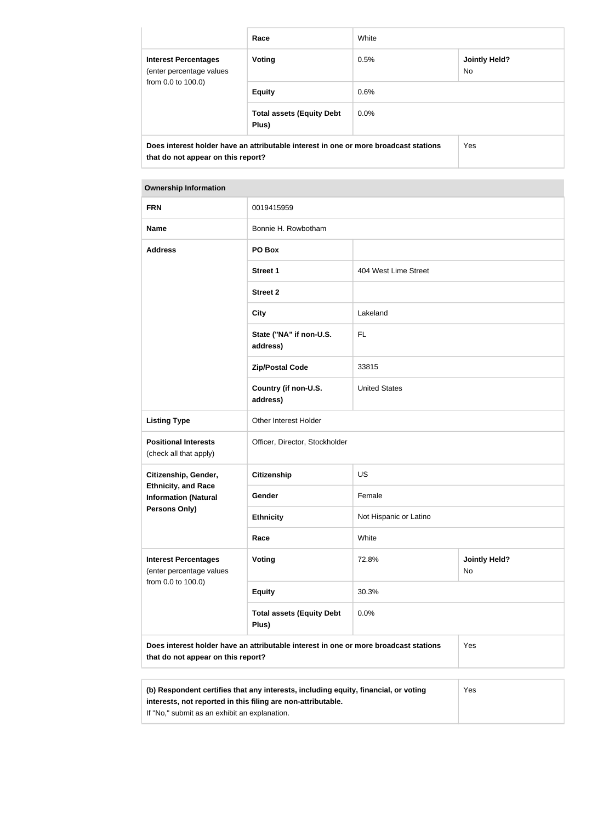|                                                                                                                            | Race                                      | White                               |     |  |
|----------------------------------------------------------------------------------------------------------------------------|-------------------------------------------|-------------------------------------|-----|--|
| <b>Interest Percentages</b><br>(enter percentage values<br>from 0.0 to 100.0)                                              | Voting                                    | <b>Jointly Held?</b><br>0.5%<br>No. |     |  |
|                                                                                                                            | <b>Equity</b>                             | 0.6%                                |     |  |
|                                                                                                                            | <b>Total assets (Equity Debt</b><br>Plus) | $0.0\%$                             |     |  |
| Does interest holder have an attributable interest in one or more broadcast stations<br>that do not appear on this report? |                                           |                                     | Yes |  |

| <b>Ownership Information</b>                              |                                                                                      |                        |                            |  |  |
|-----------------------------------------------------------|--------------------------------------------------------------------------------------|------------------------|----------------------------|--|--|
| <b>FRN</b>                                                | 0019415959                                                                           |                        |                            |  |  |
| <b>Name</b>                                               | Bonnie H. Rowbotham                                                                  |                        |                            |  |  |
| <b>Address</b>                                            | PO Box                                                                               |                        |                            |  |  |
|                                                           | <b>Street 1</b>                                                                      | 404 West Lime Street   |                            |  |  |
|                                                           | <b>Street 2</b>                                                                      |                        |                            |  |  |
|                                                           | <b>City</b>                                                                          | Lakeland               |                            |  |  |
|                                                           | State ("NA" if non-U.S.<br>address)                                                  | <b>FL</b>              |                            |  |  |
|                                                           | <b>Zip/Postal Code</b>                                                               | 33815                  |                            |  |  |
|                                                           | Country (if non-U.S.<br>address)                                                     | <b>United States</b>   |                            |  |  |
| <b>Listing Type</b>                                       | Other Interest Holder                                                                |                        |                            |  |  |
| <b>Positional Interests</b><br>(check all that apply)     | Officer, Director, Stockholder                                                       |                        |                            |  |  |
| Citizenship, Gender,                                      | <b>Citizenship</b>                                                                   | US                     |                            |  |  |
| <b>Ethnicity, and Race</b><br><b>Information (Natural</b> | Gender                                                                               | Female                 |                            |  |  |
| Persons Only)                                             | <b>Ethnicity</b>                                                                     | Not Hispanic or Latino |                            |  |  |
|                                                           | Race                                                                                 | White                  |                            |  |  |
| <b>Interest Percentages</b><br>(enter percentage values   | <b>Voting</b>                                                                        | 72.8%                  | <b>Jointly Held?</b><br>No |  |  |
| from 0.0 to 100.0)                                        | <b>Equity</b>                                                                        | 30.3%                  |                            |  |  |
|                                                           | <b>Total assets (Equity Debt</b><br>Plus)                                            | 0.0%                   |                            |  |  |
| that do not appear on this report?                        | Does interest holder have an attributable interest in one or more broadcast stations |                        | Yes                        |  |  |

| (b) Respondent certifies that any interests, including equity, financial, or voting | Yes |
|-------------------------------------------------------------------------------------|-----|
| interests, not reported in this filing are non-attributable.                        |     |
| If "No," submit as an exhibit an explanation.                                       |     |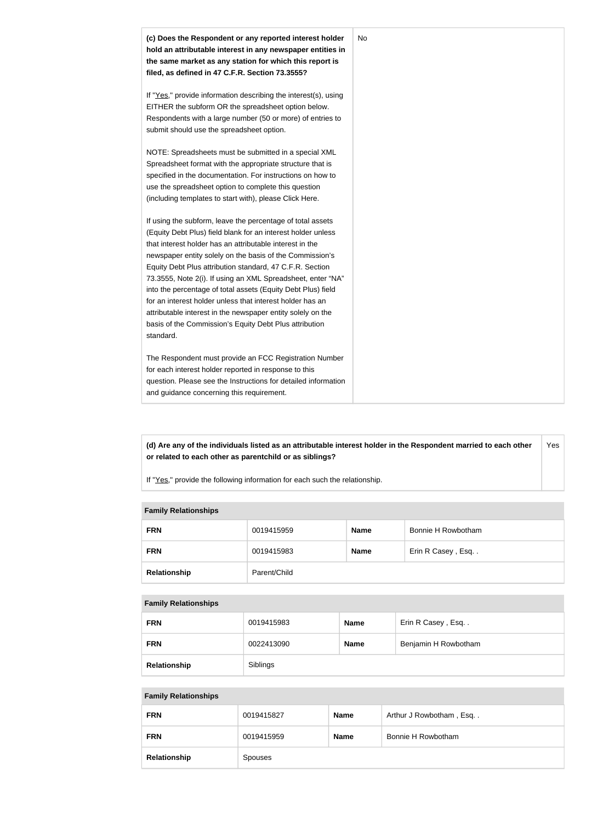

**(d) Are any of the individuals listed as an attributable interest holder in the Respondent married to each other or related to each other as parentchild or as siblings?** Yes

If "Yes," provide the following information for each such the relationship.

#### **Family Relationships**

| <b>FRN</b>   | 0019415959   | <b>Name</b> | Bonnie H Rowbotham |
|--------------|--------------|-------------|--------------------|
| <b>FRN</b>   | 0019415983   | <b>Name</b> | Erin R Casey, Esq  |
| Relationship | Parent/Child |             |                    |

#### **Family Relationships**

| <b>FRN</b>   | 0019415983 | <b>Name</b> | Erin R Casey, Esq    |
|--------------|------------|-------------|----------------------|
| <b>FRN</b>   | 0022413090 | <b>Name</b> | Benjamin H Rowbotham |
| Relationship | Siblings   |             |                      |

#### **Family Relationships**

| <b>FRN</b>   | 0019415827     | Name        | Arthur J Rowbotham, Esq |
|--------------|----------------|-------------|-------------------------|
| <b>FRN</b>   | 0019415959     | <b>Name</b> | Bonnie H Rowbotham      |
| Relationship | <b>Spouses</b> |             |                         |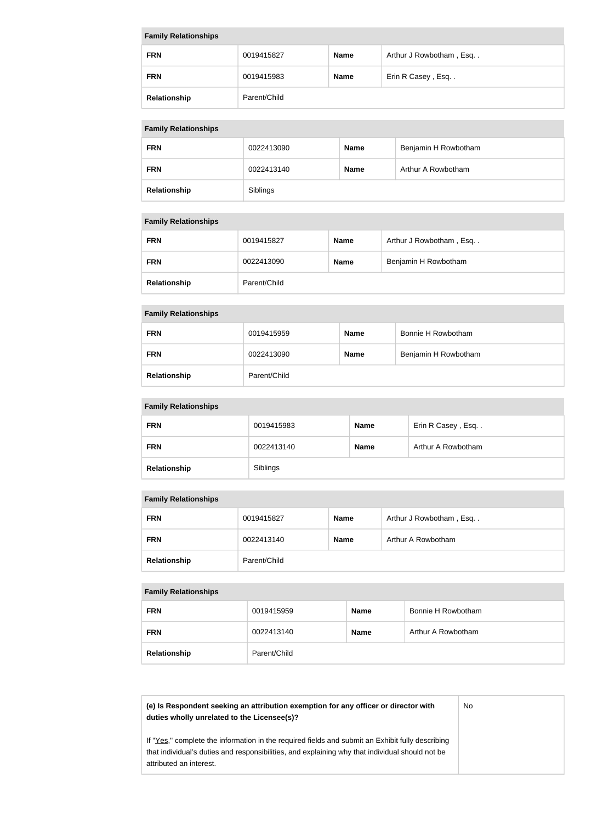| <b>Family Relationships</b> |              |             |                         |
|-----------------------------|--------------|-------------|-------------------------|
| <b>FRN</b>                  | 0019415827   | <b>Name</b> | Arthur J Rowbotham, Esq |
| <b>FRN</b>                  | 0019415983   | <b>Name</b> | Erin R Casey, Esq       |
| Relationship                | Parent/Child |             |                         |

# **Family Relationships**

| $\ldots$     |            |             |                      |
|--------------|------------|-------------|----------------------|
| <b>FRN</b>   | 0022413090 | <b>Name</b> | Benjamin H Rowbotham |
| <b>FRN</b>   | 0022413140 | <b>Name</b> | Arthur A Rowbotham   |
| Relationship | Siblings   |             |                      |

#### **Family Relationships**

| <b>FRN</b>   | 0019415827   | <b>Name</b> | Arthur J Rowbotham, Esq |
|--------------|--------------|-------------|-------------------------|
| <b>FRN</b>   | 0022413090   | <b>Name</b> | Benjamin H Rowbotham    |
| Relationship | Parent/Child |             |                         |

# **Family Relationships**

| <b>FRN</b>   | 0019415959   | <b>Name</b> | Bonnie H Rowbotham   |
|--------------|--------------|-------------|----------------------|
| <b>FRN</b>   | 0022413090   | <b>Name</b> | Benjamin H Rowbotham |
| Relationship | Parent/Child |             |                      |

## **Family Relationships**

| <b>FRN</b>   | 0019415983 | <b>Name</b> | Erin R Casey, Esq  |
|--------------|------------|-------------|--------------------|
| <b>FRN</b>   | 0022413140 | <b>Name</b> | Arthur A Rowbotham |
| Relationship | Siblings   |             |                    |

## **Family Relationships**

| <b>FRN</b>   | 0019415827   | <b>Name</b> | Arthur J Rowbotham, Esq |
|--------------|--------------|-------------|-------------------------|
| <b>FRN</b>   | 0022413140   | <b>Name</b> | Arthur A Rowbotham      |
| Relationship | Parent/Child |             |                         |

# **Family Relationships**

| <b>FRN</b>   | 0019415959   | <b>Name</b> | Bonnie H Rowbotham |  |  |
|--------------|--------------|-------------|--------------------|--|--|
| <b>FRN</b>   | 0022413140   | <b>Name</b> | Arthur A Rowbotham |  |  |
| Relationship | Parent/Child |             |                    |  |  |

## **(e) Is Respondent seeking an attribution exemption for any officer or director with duties wholly unrelated to the Licensee(s)?**

No

If "Yes," complete the information in the required fields and submit an Exhibit fully describing that individual's duties and responsibilities, and explaining why that individual should not be attributed an interest.